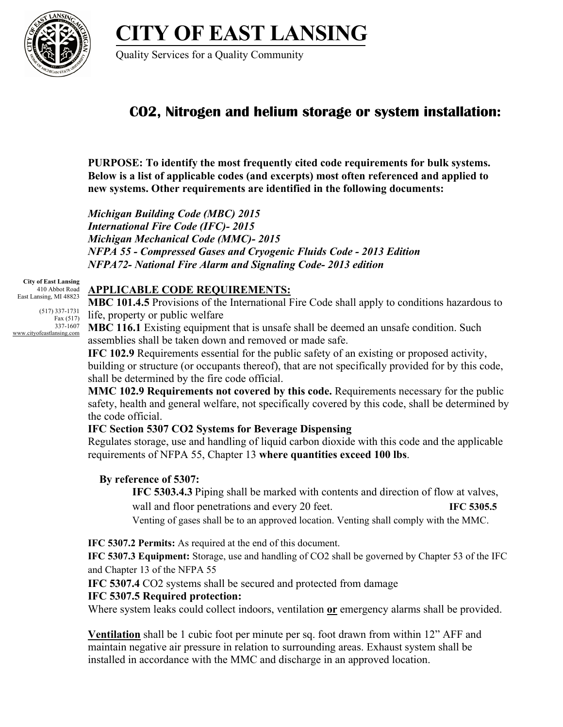# **CITY OF EAST LANSING**



Quality Services for a Quality Community

## **CO2, Nitrogen and helium storage or system installation:**

**PURPOSE: To identify the most frequently cited code requirements for bulk systems. Below is a list of applicable codes (and excerpts) most often referenced and applied to new systems. Other requirements are identified in the following documents:**

*Michigan Building Code (MBC) 2015 International Fire Code (IFC)- 2015 Michigan Mechanical Code (MMC)- 2015 NFPA 55 - Compressed Gases and Cryogenic Fluids Code - 2013 Edition NFPA72- National Fire Alarm and Signaling Code- 2013 edition* 

#### **City of East Lansing** 410 Abbot Road East Lansing, MI 48823

(517) 337-1731 Fax (517) 337-1607 www.cityofeastlansing.com

### **APPLICABLE CODE REQUIREMENTS:**

**MBC 101.4.5** Provisions of the International Fire Code shall apply to conditions hazardous to life, property or public welfare

**MBC 116.1** Existing equipment that is unsafe shall be deemed an unsafe condition. Such assemblies shall be taken down and removed or made safe.

**IFC 102.9** Requirements essential for the public safety of an existing or proposed activity, building or structure (or occupants thereof), that are not specifically provided for by this code, shall be determined by the fire code official.

**MMC 102.9 Requirements not covered by this code.** Requirements necessary for the public safety, health and general welfare, not specifically covered by this code, shall be determined by the code official.

#### **IFC Section 5307 CO2 Systems for Beverage Dispensing**

Regulates storage, use and handling of liquid carbon dioxide with this code and the applicable requirements of NFPA 55, Chapter 13 **where quantities exceed 100 lbs**.

## **By reference of 5307:**

**IFC 5303.4.3** Piping shall be marked with contents and direction of flow at valves, wall and floor penetrations and every 20 feet. **IFC 5305.5** Venting of gases shall be to an approved location. Venting shall comply with the MMC.

**IFC 5307.2 Permits:** As required at the end of this document.

**IFC 5307.3 Equipment:** Storage, use and handling of CO2 shall be governed by Chapter 53 of the IFC and Chapter 13 of the NFPA 55

**IFC 5307.4** CO2 systems shall be secured and protected from damage

#### **IFC 5307.5 Required protection:**

Where system leaks could collect indoors, ventilation **or** emergency alarms shall be provided.

**Ventilation** shall be 1 cubic foot per minute per sq. foot drawn from within 12" AFF and maintain negative air pressure in relation to surrounding areas. Exhaust system shall be installed in accordance with the MMC and discharge in an approved location.